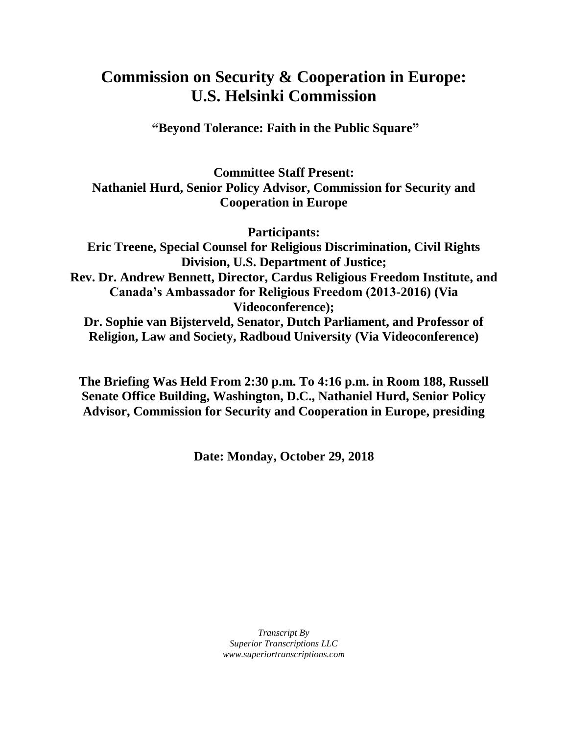# **Commission on Security & Cooperation in Europe: U.S. Helsinki Commission**

**"Beyond Tolerance: Faith in the Public Square"**

**Committee Staff Present: Nathaniel Hurd, Senior Policy Advisor, Commission for Security and Cooperation in Europe**

**Participants:**

**Eric Treene, Special Counsel for Religious Discrimination, Civil Rights Division, U.S. Department of Justice; Rev. Dr. Andrew Bennett, Director, Cardus Religious Freedom Institute, and Canada's Ambassador for Religious Freedom (2013-2016) (Via Videoconference); Dr. Sophie van Bijsterveld, Senator, Dutch Parliament, and Professor of** 

**Religion, Law and Society, Radboud University (Via Videoconference)**

**The Briefing Was Held From 2:30 p.m. To 4:16 p.m. in Room 188, Russell Senate Office Building, Washington, D.C., Nathaniel Hurd, Senior Policy Advisor, Commission for Security and Cooperation in Europe, presiding**

**Date: Monday, October 29, 2018**

*Transcript By Superior Transcriptions LLC www.superiortranscriptions.com*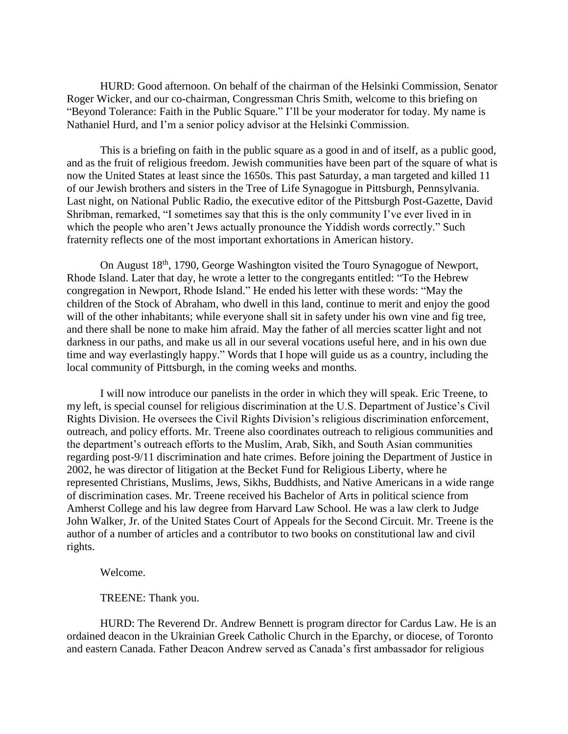HURD: Good afternoon. On behalf of the chairman of the Helsinki Commission, Senator Roger Wicker, and our co-chairman, Congressman Chris Smith, welcome to this briefing on "Beyond Tolerance: Faith in the Public Square." I'll be your moderator for today. My name is Nathaniel Hurd, and I'm a senior policy advisor at the Helsinki Commission.

This is a briefing on faith in the public square as a good in and of itself, as a public good, and as the fruit of religious freedom. Jewish communities have been part of the square of what is now the United States at least since the 1650s. This past Saturday, a man targeted and killed 11 of our Jewish brothers and sisters in the Tree of Life Synagogue in Pittsburgh, Pennsylvania. Last night, on National Public Radio, the executive editor of the Pittsburgh Post-Gazette, David Shribman, remarked, "I sometimes say that this is the only community I've ever lived in in which the people who aren't Jews actually pronounce the Yiddish words correctly." Such fraternity reflects one of the most important exhortations in American history.

On August 18th, 1790, George Washington visited the Touro Synagogue of Newport, Rhode Island. Later that day, he wrote a letter to the congregants entitled: "To the Hebrew congregation in Newport, Rhode Island." He ended his letter with these words: "May the children of the Stock of Abraham, who dwell in this land, continue to merit and enjoy the good will of the other inhabitants; while everyone shall sit in safety under his own vine and fig tree, and there shall be none to make him afraid. May the father of all mercies scatter light and not darkness in our paths, and make us all in our several vocations useful here, and in his own due time and way everlastingly happy." Words that I hope will guide us as a country, including the local community of Pittsburgh, in the coming weeks and months.

I will now introduce our panelists in the order in which they will speak. Eric Treene, to my left, is special counsel for religious discrimination at the U.S. Department of Justice's Civil Rights Division. He oversees the Civil Rights Division's religious discrimination enforcement, outreach, and policy efforts. Mr. Treene also coordinates outreach to religious communities and the department's outreach efforts to the Muslim, Arab, Sikh, and South Asian communities regarding post-9/11 discrimination and hate crimes. Before joining the Department of Justice in 2002, he was director of litigation at the Becket Fund for Religious Liberty, where he represented Christians, Muslims, Jews, Sikhs, Buddhists, and Native Americans in a wide range of discrimination cases. Mr. Treene received his Bachelor of Arts in political science from Amherst College and his law degree from Harvard Law School. He was a law clerk to Judge John Walker, Jr. of the United States Court of Appeals for the Second Circuit. Mr. Treene is the author of a number of articles and a contributor to two books on constitutional law and civil rights.

Welcome.

TREENE: Thank you.

HURD: The Reverend Dr. Andrew Bennett is program director for Cardus Law. He is an ordained deacon in the Ukrainian Greek Catholic Church in the Eparchy, or diocese, of Toronto and eastern Canada. Father Deacon Andrew served as Canada's first ambassador for religious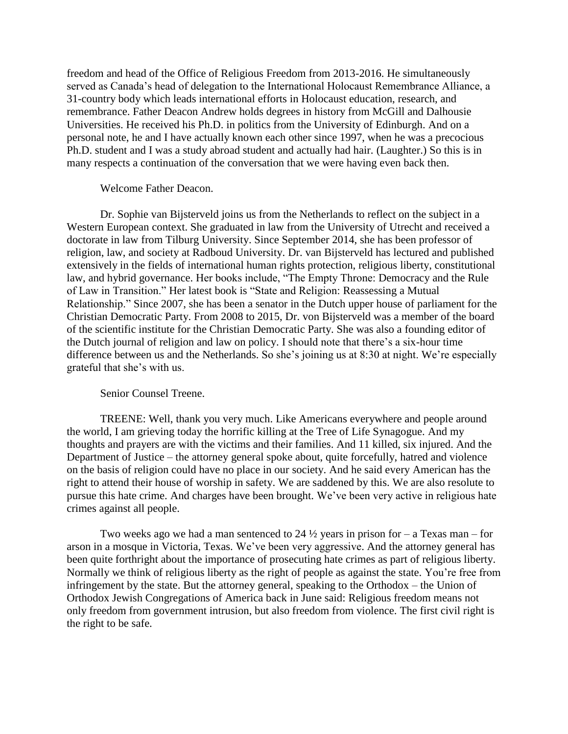freedom and head of the Office of Religious Freedom from 2013-2016. He simultaneously served as Canada's head of delegation to the International Holocaust Remembrance Alliance, a 31-country body which leads international efforts in Holocaust education, research, and remembrance. Father Deacon Andrew holds degrees in history from McGill and Dalhousie Universities. He received his Ph.D. in politics from the University of Edinburgh. And on a personal note, he and I have actually known each other since 1997, when he was a precocious Ph.D. student and I was a study abroad student and actually had hair. (Laughter.) So this is in many respects a continuation of the conversation that we were having even back then.

# Welcome Father Deacon.

Dr. Sophie van Bijsterveld joins us from the Netherlands to reflect on the subject in a Western European context. She graduated in law from the University of Utrecht and received a doctorate in law from Tilburg University. Since September 2014, she has been professor of religion, law, and society at Radboud University. Dr. van Bijsterveld has lectured and published extensively in the fields of international human rights protection, religious liberty, constitutional law, and hybrid governance. Her books include, "The Empty Throne: Democracy and the Rule of Law in Transition." Her latest book is "State and Religion: Reassessing a Mutual Relationship." Since 2007, she has been a senator in the Dutch upper house of parliament for the Christian Democratic Party. From 2008 to 2015, Dr. von Bijsterveld was a member of the board of the scientific institute for the Christian Democratic Party. She was also a founding editor of the Dutch journal of religion and law on policy. I should note that there's a six-hour time difference between us and the Netherlands. So she's joining us at 8:30 at night. We're especially grateful that she's with us.

# Senior Counsel Treene.

TREENE: Well, thank you very much. Like Americans everywhere and people around the world, I am grieving today the horrific killing at the Tree of Life Synagogue. And my thoughts and prayers are with the victims and their families. And 11 killed, six injured. And the Department of Justice – the attorney general spoke about, quite forcefully, hatred and violence on the basis of religion could have no place in our society. And he said every American has the right to attend their house of worship in safety. We are saddened by this. We are also resolute to pursue this hate crime. And charges have been brought. We've been very active in religious hate crimes against all people.

Two weeks ago we had a man sentenced to 24  $\frac{1}{2}$  years in prison for – a Texas man – for arson in a mosque in Victoria, Texas. We've been very aggressive. And the attorney general has been quite forthright about the importance of prosecuting hate crimes as part of religious liberty. Normally we think of religious liberty as the right of people as against the state. You're free from infringement by the state. But the attorney general, speaking to the Orthodox – the Union of Orthodox Jewish Congregations of America back in June said: Religious freedom means not only freedom from government intrusion, but also freedom from violence. The first civil right is the right to be safe.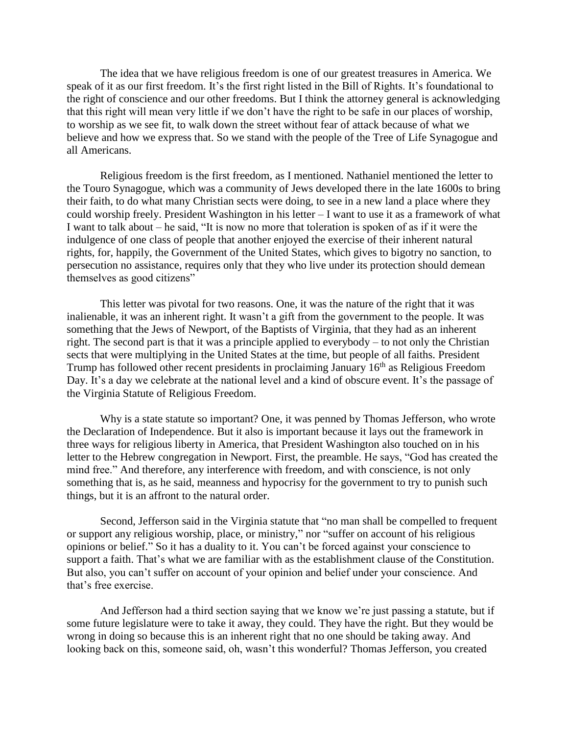The idea that we have religious freedom is one of our greatest treasures in America. We speak of it as our first freedom. It's the first right listed in the Bill of Rights. It's foundational to the right of conscience and our other freedoms. But I think the attorney general is acknowledging that this right will mean very little if we don't have the right to be safe in our places of worship, to worship as we see fit, to walk down the street without fear of attack because of what we believe and how we express that. So we stand with the people of the Tree of Life Synagogue and all Americans.

Religious freedom is the first freedom, as I mentioned. Nathaniel mentioned the letter to the Touro Synagogue, which was a community of Jews developed there in the late 1600s to bring their faith, to do what many Christian sects were doing, to see in a new land a place where they could worship freely. President Washington in his letter – I want to use it as a framework of what I want to talk about – he said, "It is now no more that toleration is spoken of as if it were the indulgence of one class of people that another enjoyed the exercise of their inherent natural rights, for, happily, the Government of the United States, which gives to bigotry no sanction, to persecution no assistance, requires only that they who live under its protection should demean themselves as good citizens"

This letter was pivotal for two reasons. One, it was the nature of the right that it was inalienable, it was an inherent right. It wasn't a gift from the government to the people. It was something that the Jews of Newport, of the Baptists of Virginia, that they had as an inherent right. The second part is that it was a principle applied to everybody – to not only the Christian sects that were multiplying in the United States at the time, but people of all faiths. President Trump has followed other recent presidents in proclaiming January 16<sup>th</sup> as Religious Freedom Day. It's a day we celebrate at the national level and a kind of obscure event. It's the passage of the Virginia Statute of Religious Freedom.

Why is a state statute so important? One, it was penned by Thomas Jefferson, who wrote the Declaration of Independence. But it also is important because it lays out the framework in three ways for religious liberty in America, that President Washington also touched on in his letter to the Hebrew congregation in Newport. First, the preamble. He says, "God has created the mind free." And therefore, any interference with freedom, and with conscience, is not only something that is, as he said, meanness and hypocrisy for the government to try to punish such things, but it is an affront to the natural order.

Second, Jefferson said in the Virginia statute that "no man shall be compelled to frequent or support any religious worship, place, or ministry," nor "suffer on account of his religious opinions or belief." So it has a duality to it. You can't be forced against your conscience to support a faith. That's what we are familiar with as the establishment clause of the Constitution. But also, you can't suffer on account of your opinion and belief under your conscience. And that's free exercise.

And Jefferson had a third section saying that we know we're just passing a statute, but if some future legislature were to take it away, they could. They have the right. But they would be wrong in doing so because this is an inherent right that no one should be taking away. And looking back on this, someone said, oh, wasn't this wonderful? Thomas Jefferson, you created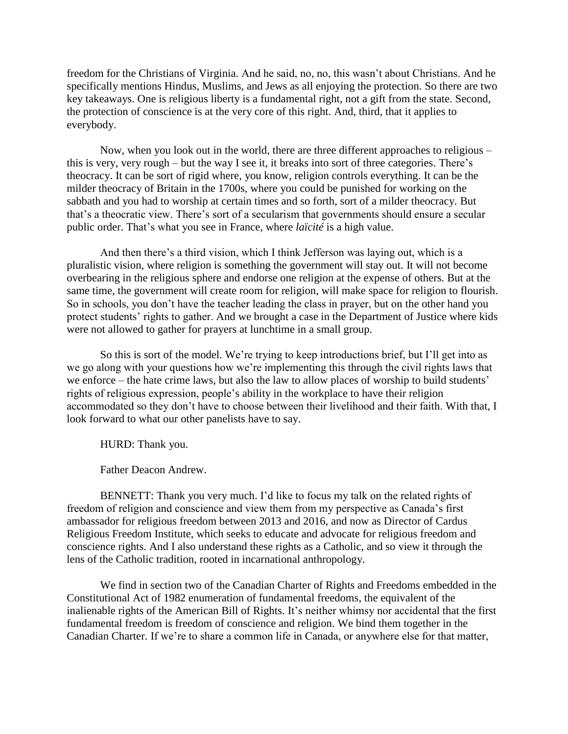freedom for the Christians of Virginia. And he said, no, no, this wasn't about Christians. And he specifically mentions Hindus, Muslims, and Jews as all enjoying the protection. So there are two key takeaways. One is religious liberty is a fundamental right, not a gift from the state. Second, the protection of conscience is at the very core of this right. And, third, that it applies to everybody.

Now, when you look out in the world, there are three different approaches to religious – this is very, very rough – but the way I see it, it breaks into sort of three categories. There's theocracy. It can be sort of rigid where, you know, religion controls everything. It can be the milder theocracy of Britain in the 1700s, where you could be punished for working on the sabbath and you had to worship at certain times and so forth, sort of a milder theocracy. But that's a theocratic view. There's sort of a secularism that governments should ensure a secular public order. That's what you see in France, where *laïcité* is a high value.

And then there's a third vision, which I think Jefferson was laying out, which is a pluralistic vision, where religion is something the government will stay out. It will not become overbearing in the religious sphere and endorse one religion at the expense of others. But at the same time, the government will create room for religion, will make space for religion to flourish. So in schools, you don't have the teacher leading the class in prayer, but on the other hand you protect students' rights to gather. And we brought a case in the Department of Justice where kids were not allowed to gather for prayers at lunchtime in a small group.

So this is sort of the model. We're trying to keep introductions brief, but I'll get into as we go along with your questions how we're implementing this through the civil rights laws that we enforce – the hate crime laws, but also the law to allow places of worship to build students' rights of religious expression, people's ability in the workplace to have their religion accommodated so they don't have to choose between their livelihood and their faith. With that, I look forward to what our other panelists have to say.

HURD: Thank you.

Father Deacon Andrew.

BENNETT: Thank you very much. I'd like to focus my talk on the related rights of freedom of religion and conscience and view them from my perspective as Canada's first ambassador for religious freedom between 2013 and 2016, and now as Director of Cardus Religious Freedom Institute, which seeks to educate and advocate for religious freedom and conscience rights. And I also understand these rights as a Catholic, and so view it through the lens of the Catholic tradition, rooted in incarnational anthropology.

We find in section two of the Canadian Charter of Rights and Freedoms embedded in the Constitutional Act of 1982 enumeration of fundamental freedoms, the equivalent of the inalienable rights of the American Bill of Rights. It's neither whimsy nor accidental that the first fundamental freedom is freedom of conscience and religion. We bind them together in the Canadian Charter. If we're to share a common life in Canada, or anywhere else for that matter,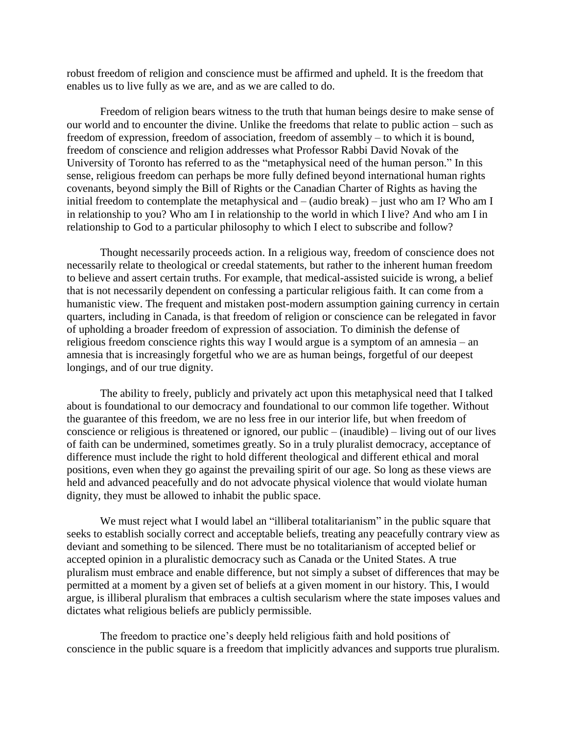robust freedom of religion and conscience must be affirmed and upheld. It is the freedom that enables us to live fully as we are, and as we are called to do.

Freedom of religion bears witness to the truth that human beings desire to make sense of our world and to encounter the divine. Unlike the freedoms that relate to public action – such as freedom of expression, freedom of association, freedom of assembly – to which it is bound, freedom of conscience and religion addresses what Professor Rabbi David Novak of the University of Toronto has referred to as the "metaphysical need of the human person." In this sense, religious freedom can perhaps be more fully defined beyond international human rights covenants, beyond simply the Bill of Rights or the Canadian Charter of Rights as having the initial freedom to contemplate the metaphysical and – (audio break) – just who am I? Who am I in relationship to you? Who am I in relationship to the world in which I live? And who am I in relationship to God to a particular philosophy to which I elect to subscribe and follow?

Thought necessarily proceeds action. In a religious way, freedom of conscience does not necessarily relate to theological or creedal statements, but rather to the inherent human freedom to believe and assert certain truths. For example, that medical-assisted suicide is wrong, a belief that is not necessarily dependent on confessing a particular religious faith. It can come from a humanistic view. The frequent and mistaken post-modern assumption gaining currency in certain quarters, including in Canada, is that freedom of religion or conscience can be relegated in favor of upholding a broader freedom of expression of association. To diminish the defense of religious freedom conscience rights this way I would argue is a symptom of an amnesia – an amnesia that is increasingly forgetful who we are as human beings, forgetful of our deepest longings, and of our true dignity.

The ability to freely, publicly and privately act upon this metaphysical need that I talked about is foundational to our democracy and foundational to our common life together. Without the guarantee of this freedom, we are no less free in our interior life, but when freedom of conscience or religious is threatened or ignored, our public – (inaudible) – living out of our lives of faith can be undermined, sometimes greatly. So in a truly pluralist democracy, acceptance of difference must include the right to hold different theological and different ethical and moral positions, even when they go against the prevailing spirit of our age. So long as these views are held and advanced peacefully and do not advocate physical violence that would violate human dignity, they must be allowed to inhabit the public space.

We must reject what I would label an "illiberal totalitarianism" in the public square that seeks to establish socially correct and acceptable beliefs, treating any peacefully contrary view as deviant and something to be silenced. There must be no totalitarianism of accepted belief or accepted opinion in a pluralistic democracy such as Canada or the United States. A true pluralism must embrace and enable difference, but not simply a subset of differences that may be permitted at a moment by a given set of beliefs at a given moment in our history. This, I would argue, is illiberal pluralism that embraces a cultish secularism where the state imposes values and dictates what religious beliefs are publicly permissible.

The freedom to practice one's deeply held religious faith and hold positions of conscience in the public square is a freedom that implicitly advances and supports true pluralism.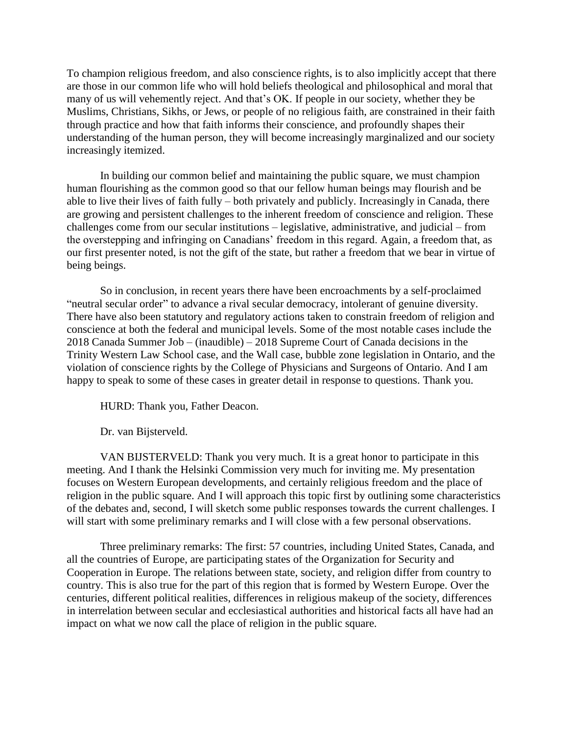To champion religious freedom, and also conscience rights, is to also implicitly accept that there are those in our common life who will hold beliefs theological and philosophical and moral that many of us will vehemently reject. And that's OK. If people in our society, whether they be Muslims, Christians, Sikhs, or Jews, or people of no religious faith, are constrained in their faith through practice and how that faith informs their conscience, and profoundly shapes their understanding of the human person, they will become increasingly marginalized and our society increasingly itemized.

In building our common belief and maintaining the public square, we must champion human flourishing as the common good so that our fellow human beings may flourish and be able to live their lives of faith fully – both privately and publicly. Increasingly in Canada, there are growing and persistent challenges to the inherent freedom of conscience and religion. These challenges come from our secular institutions – legislative, administrative, and judicial – from the overstepping and infringing on Canadians' freedom in this regard. Again, a freedom that, as our first presenter noted, is not the gift of the state, but rather a freedom that we bear in virtue of being beings.

So in conclusion, in recent years there have been encroachments by a self-proclaimed "neutral secular order" to advance a rival secular democracy, intolerant of genuine diversity. There have also been statutory and regulatory actions taken to constrain freedom of religion and conscience at both the federal and municipal levels. Some of the most notable cases include the 2018 Canada Summer Job – (inaudible) – 2018 Supreme Court of Canada decisions in the Trinity Western Law School case, and the Wall case, bubble zone legislation in Ontario, and the violation of conscience rights by the College of Physicians and Surgeons of Ontario. And I am happy to speak to some of these cases in greater detail in response to questions. Thank you.

HURD: Thank you, Father Deacon.

Dr. van Bijsterveld.

VAN BIJSTERVELD: Thank you very much. It is a great honor to participate in this meeting. And I thank the Helsinki Commission very much for inviting me. My presentation focuses on Western European developments, and certainly religious freedom and the place of religion in the public square. And I will approach this topic first by outlining some characteristics of the debates and, second, I will sketch some public responses towards the current challenges. I will start with some preliminary remarks and I will close with a few personal observations.

Three preliminary remarks: The first: 57 countries, including United States, Canada, and all the countries of Europe, are participating states of the Organization for Security and Cooperation in Europe. The relations between state, society, and religion differ from country to country. This is also true for the part of this region that is formed by Western Europe. Over the centuries, different political realities, differences in religious makeup of the society, differences in interrelation between secular and ecclesiastical authorities and historical facts all have had an impact on what we now call the place of religion in the public square.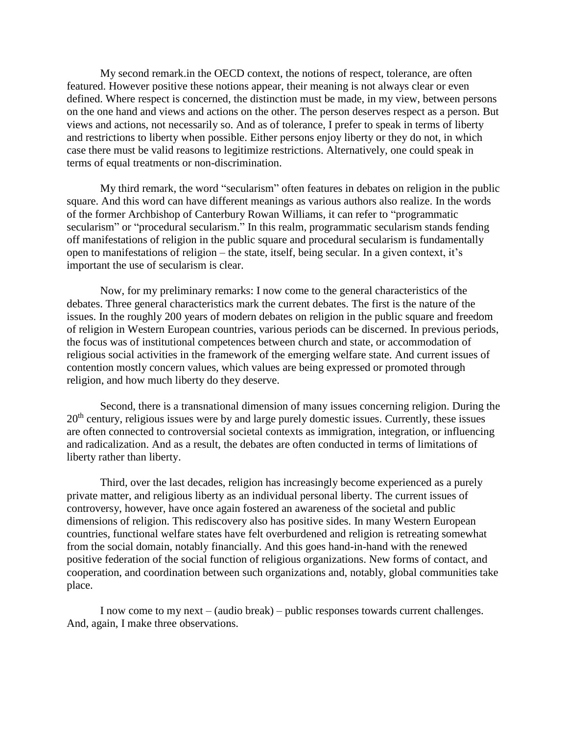My second remark.in the OECD context, the notions of respect, tolerance, are often featured. However positive these notions appear, their meaning is not always clear or even defined. Where respect is concerned, the distinction must be made, in my view, between persons on the one hand and views and actions on the other. The person deserves respect as a person. But views and actions, not necessarily so. And as of tolerance, I prefer to speak in terms of liberty and restrictions to liberty when possible. Either persons enjoy liberty or they do not, in which case there must be valid reasons to legitimize restrictions. Alternatively, one could speak in terms of equal treatments or non-discrimination.

My third remark, the word "secularism" often features in debates on religion in the public square. And this word can have different meanings as various authors also realize. In the words of the former Archbishop of Canterbury Rowan Williams, it can refer to "programmatic secularism" or "procedural secularism." In this realm, programmatic secularism stands fending off manifestations of religion in the public square and procedural secularism is fundamentally open to manifestations of religion – the state, itself, being secular. In a given context, it's important the use of secularism is clear.

Now, for my preliminary remarks: I now come to the general characteristics of the debates. Three general characteristics mark the current debates. The first is the nature of the issues. In the roughly 200 years of modern debates on religion in the public square and freedom of religion in Western European countries, various periods can be discerned. In previous periods, the focus was of institutional competences between church and state, or accommodation of religious social activities in the framework of the emerging welfare state. And current issues of contention mostly concern values, which values are being expressed or promoted through religion, and how much liberty do they deserve.

Second, there is a transnational dimension of many issues concerning religion. During the  $20<sup>th</sup>$  century, religious issues were by and large purely domestic issues. Currently, these issues are often connected to controversial societal contexts as immigration, integration, or influencing and radicalization. And as a result, the debates are often conducted in terms of limitations of liberty rather than liberty.

Third, over the last decades, religion has increasingly become experienced as a purely private matter, and religious liberty as an individual personal liberty. The current issues of controversy, however, have once again fostered an awareness of the societal and public dimensions of religion. This rediscovery also has positive sides. In many Western European countries, functional welfare states have felt overburdened and religion is retreating somewhat from the social domain, notably financially. And this goes hand-in-hand with the renewed positive federation of the social function of religious organizations. New forms of contact, and cooperation, and coordination between such organizations and, notably, global communities take place.

I now come to my next – (audio break) – public responses towards current challenges. And, again, I make three observations.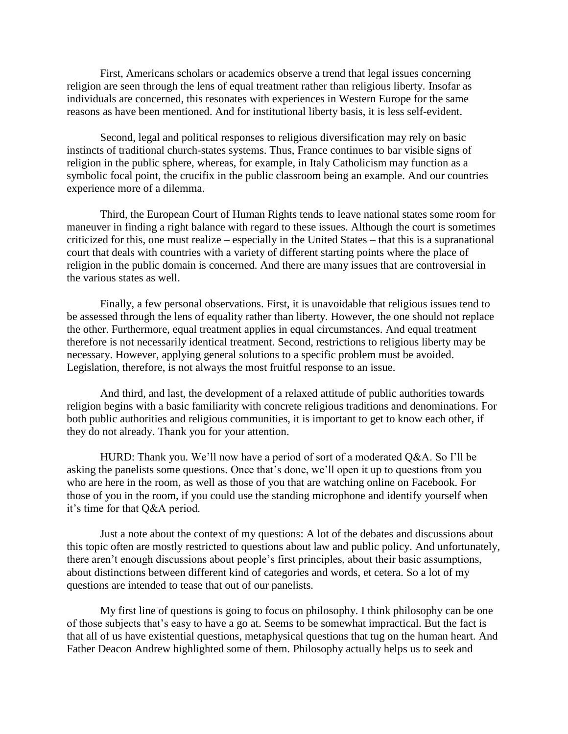First, Americans scholars or academics observe a trend that legal issues concerning religion are seen through the lens of equal treatment rather than religious liberty. Insofar as individuals are concerned, this resonates with experiences in Western Europe for the same reasons as have been mentioned. And for institutional liberty basis, it is less self-evident.

Second, legal and political responses to religious diversification may rely on basic instincts of traditional church-states systems. Thus, France continues to bar visible signs of religion in the public sphere, whereas, for example, in Italy Catholicism may function as a symbolic focal point, the crucifix in the public classroom being an example. And our countries experience more of a dilemma.

Third, the European Court of Human Rights tends to leave national states some room for maneuver in finding a right balance with regard to these issues. Although the court is sometimes criticized for this, one must realize – especially in the United States – that this is a supranational court that deals with countries with a variety of different starting points where the place of religion in the public domain is concerned. And there are many issues that are controversial in the various states as well.

Finally, a few personal observations. First, it is unavoidable that religious issues tend to be assessed through the lens of equality rather than liberty. However, the one should not replace the other. Furthermore, equal treatment applies in equal circumstances. And equal treatment therefore is not necessarily identical treatment. Second, restrictions to religious liberty may be necessary. However, applying general solutions to a specific problem must be avoided. Legislation, therefore, is not always the most fruitful response to an issue.

And third, and last, the development of a relaxed attitude of public authorities towards religion begins with a basic familiarity with concrete religious traditions and denominations. For both public authorities and religious communities, it is important to get to know each other, if they do not already. Thank you for your attention.

HURD: Thank you. We'll now have a period of sort of a moderated Q&A. So I'll be asking the panelists some questions. Once that's done, we'll open it up to questions from you who are here in the room, as well as those of you that are watching online on Facebook. For those of you in the room, if you could use the standing microphone and identify yourself when it's time for that Q&A period.

Just a note about the context of my questions: A lot of the debates and discussions about this topic often are mostly restricted to questions about law and public policy. And unfortunately, there aren't enough discussions about people's first principles, about their basic assumptions, about distinctions between different kind of categories and words, et cetera. So a lot of my questions are intended to tease that out of our panelists.

My first line of questions is going to focus on philosophy. I think philosophy can be one of those subjects that's easy to have a go at. Seems to be somewhat impractical. But the fact is that all of us have existential questions, metaphysical questions that tug on the human heart. And Father Deacon Andrew highlighted some of them. Philosophy actually helps us to seek and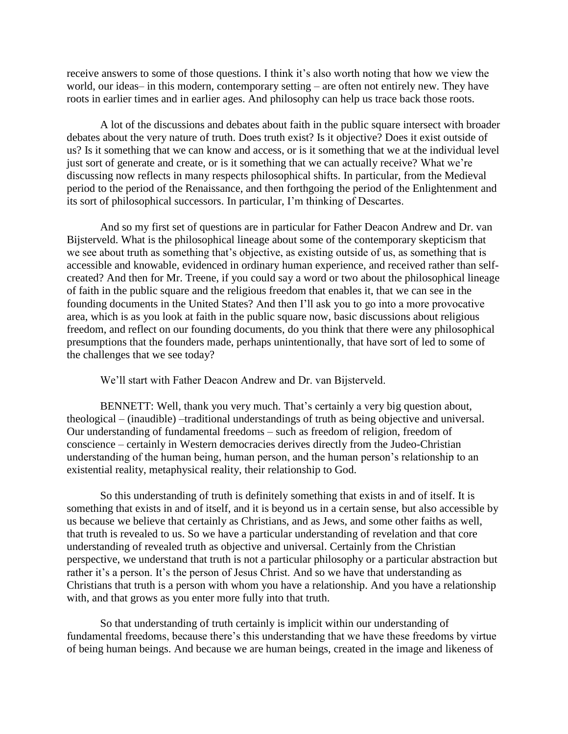receive answers to some of those questions. I think it's also worth noting that how we view the world, our ideas– in this modern, contemporary setting – are often not entirely new. They have roots in earlier times and in earlier ages. And philosophy can help us trace back those roots.

A lot of the discussions and debates about faith in the public square intersect with broader debates about the very nature of truth. Does truth exist? Is it objective? Does it exist outside of us? Is it something that we can know and access, or is it something that we at the individual level just sort of generate and create, or is it something that we can actually receive? What we're discussing now reflects in many respects philosophical shifts. In particular, from the Medieval period to the period of the Renaissance, and then forthgoing the period of the Enlightenment and its sort of philosophical successors. In particular, I'm thinking of Descartes.

And so my first set of questions are in particular for Father Deacon Andrew and Dr. van Bijsterveld. What is the philosophical lineage about some of the contemporary skepticism that we see about truth as something that's objective, as existing outside of us, as something that is accessible and knowable, evidenced in ordinary human experience, and received rather than selfcreated? And then for Mr. Treene, if you could say a word or two about the philosophical lineage of faith in the public square and the religious freedom that enables it, that we can see in the founding documents in the United States? And then I'll ask you to go into a more provocative area, which is as you look at faith in the public square now, basic discussions about religious freedom, and reflect on our founding documents, do you think that there were any philosophical presumptions that the founders made, perhaps unintentionally, that have sort of led to some of the challenges that we see today?

We'll start with Father Deacon Andrew and Dr. van Bijsterveld.

BENNETT: Well, thank you very much. That's certainly a very big question about, theological – (inaudible) –traditional understandings of truth as being objective and universal. Our understanding of fundamental freedoms – such as freedom of religion, freedom of conscience – certainly in Western democracies derives directly from the Judeo-Christian understanding of the human being, human person, and the human person's relationship to an existential reality, metaphysical reality, their relationship to God.

So this understanding of truth is definitely something that exists in and of itself. It is something that exists in and of itself, and it is beyond us in a certain sense, but also accessible by us because we believe that certainly as Christians, and as Jews, and some other faiths as well, that truth is revealed to us. So we have a particular understanding of revelation and that core understanding of revealed truth as objective and universal. Certainly from the Christian perspective, we understand that truth is not a particular philosophy or a particular abstraction but rather it's a person. It's the person of Jesus Christ. And so we have that understanding as Christians that truth is a person with whom you have a relationship. And you have a relationship with, and that grows as you enter more fully into that truth.

So that understanding of truth certainly is implicit within our understanding of fundamental freedoms, because there's this understanding that we have these freedoms by virtue of being human beings. And because we are human beings, created in the image and likeness of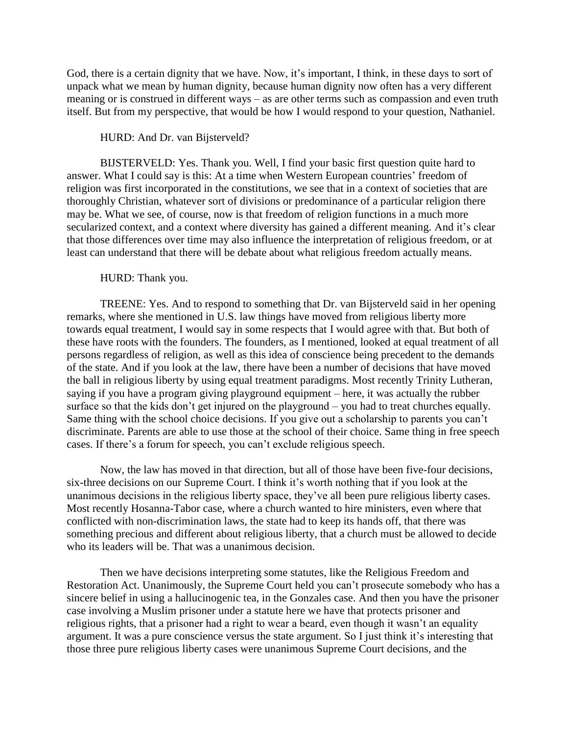God, there is a certain dignity that we have. Now, it's important, I think, in these days to sort of unpack what we mean by human dignity, because human dignity now often has a very different meaning or is construed in different ways – as are other terms such as compassion and even truth itself. But from my perspective, that would be how I would respond to your question, Nathaniel.

### HURD: And Dr. van Bijsterveld?

BIJSTERVELD: Yes. Thank you. Well, I find your basic first question quite hard to answer. What I could say is this: At a time when Western European countries' freedom of religion was first incorporated in the constitutions, we see that in a context of societies that are thoroughly Christian, whatever sort of divisions or predominance of a particular religion there may be. What we see, of course, now is that freedom of religion functions in a much more secularized context, and a context where diversity has gained a different meaning. And it's clear that those differences over time may also influence the interpretation of religious freedom, or at least can understand that there will be debate about what religious freedom actually means.

# HURD: Thank you.

TREENE: Yes. And to respond to something that Dr. van Bijsterveld said in her opening remarks, where she mentioned in U.S. law things have moved from religious liberty more towards equal treatment, I would say in some respects that I would agree with that. But both of these have roots with the founders. The founders, as I mentioned, looked at equal treatment of all persons regardless of religion, as well as this idea of conscience being precedent to the demands of the state. And if you look at the law, there have been a number of decisions that have moved the ball in religious liberty by using equal treatment paradigms. Most recently Trinity Lutheran, saying if you have a program giving playground equipment – here, it was actually the rubber surface so that the kids don't get injured on the playground – you had to treat churches equally. Same thing with the school choice decisions. If you give out a scholarship to parents you can't discriminate. Parents are able to use those at the school of their choice. Same thing in free speech cases. If there's a forum for speech, you can't exclude religious speech.

Now, the law has moved in that direction, but all of those have been five-four decisions, six-three decisions on our Supreme Court. I think it's worth nothing that if you look at the unanimous decisions in the religious liberty space, they've all been pure religious liberty cases. Most recently Hosanna-Tabor case, where a church wanted to hire ministers, even where that conflicted with non-discrimination laws, the state had to keep its hands off, that there was something precious and different about religious liberty, that a church must be allowed to decide who its leaders will be. That was a unanimous decision.

Then we have decisions interpreting some statutes, like the Religious Freedom and Restoration Act. Unanimously, the Supreme Court held you can't prosecute somebody who has a sincere belief in using a hallucinogenic tea, in the Gonzales case. And then you have the prisoner case involving a Muslim prisoner under a statute here we have that protects prisoner and religious rights, that a prisoner had a right to wear a beard, even though it wasn't an equality argument. It was a pure conscience versus the state argument. So I just think it's interesting that those three pure religious liberty cases were unanimous Supreme Court decisions, and the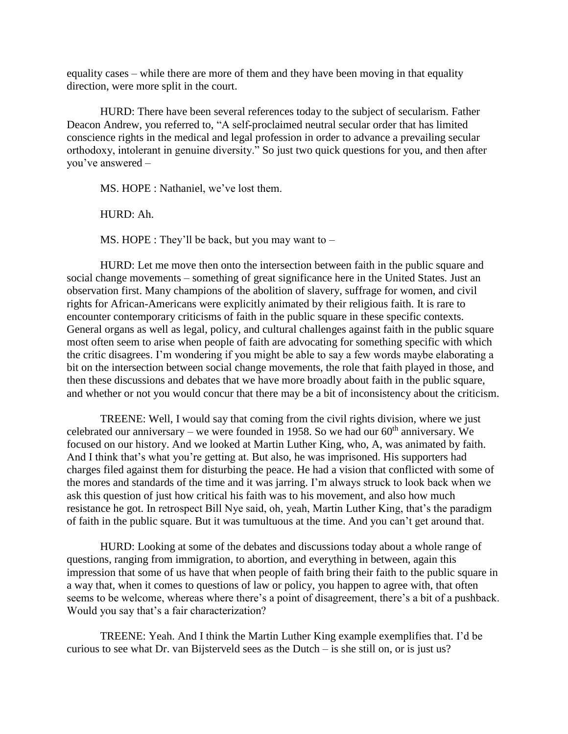equality cases – while there are more of them and they have been moving in that equality direction, were more split in the court.

HURD: There have been several references today to the subject of secularism. Father Deacon Andrew, you referred to, "A self-proclaimed neutral secular order that has limited conscience rights in the medical and legal profession in order to advance a prevailing secular orthodoxy, intolerant in genuine diversity." So just two quick questions for you, and then after you've answered –

MS. HOPE : Nathaniel, we've lost them.

 $HIPD: Ah$ 

MS. HOPE : They'll be back, but you may want to –

HURD: Let me move then onto the intersection between faith in the public square and social change movements – something of great significance here in the United States. Just an observation first. Many champions of the abolition of slavery, suffrage for women, and civil rights for African-Americans were explicitly animated by their religious faith. It is rare to encounter contemporary criticisms of faith in the public square in these specific contexts. General organs as well as legal, policy, and cultural challenges against faith in the public square most often seem to arise when people of faith are advocating for something specific with which the critic disagrees. I'm wondering if you might be able to say a few words maybe elaborating a bit on the intersection between social change movements, the role that faith played in those, and then these discussions and debates that we have more broadly about faith in the public square, and whether or not you would concur that there may be a bit of inconsistency about the criticism.

TREENE: Well, I would say that coming from the civil rights division, where we just celebrated our anniversary – we were founded in 1958. So we had our  $60<sup>th</sup>$  anniversary. We focused on our history. And we looked at Martin Luther King, who, A, was animated by faith. And I think that's what you're getting at. But also, he was imprisoned. His supporters had charges filed against them for disturbing the peace. He had a vision that conflicted with some of the mores and standards of the time and it was jarring. I'm always struck to look back when we ask this question of just how critical his faith was to his movement, and also how much resistance he got. In retrospect Bill Nye said, oh, yeah, Martin Luther King, that's the paradigm of faith in the public square. But it was tumultuous at the time. And you can't get around that.

HURD: Looking at some of the debates and discussions today about a whole range of questions, ranging from immigration, to abortion, and everything in between, again this impression that some of us have that when people of faith bring their faith to the public square in a way that, when it comes to questions of law or policy, you happen to agree with, that often seems to be welcome, whereas where there's a point of disagreement, there's a bit of a pushback. Would you say that's a fair characterization?

TREENE: Yeah. And I think the Martin Luther King example exemplifies that. I'd be curious to see what Dr. van Bijsterveld sees as the Dutch – is she still on, or is just us?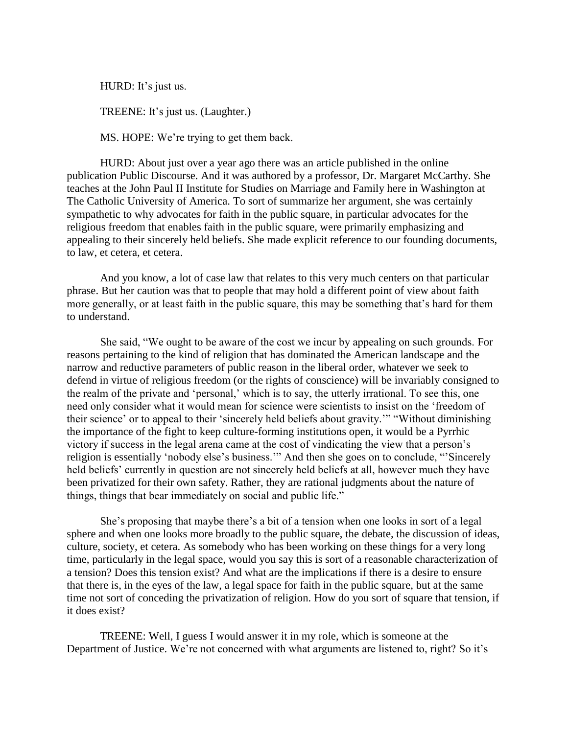HURD: It's just us.

TREENE: It's just us. (Laughter.)

MS. HOPE: We're trying to get them back.

HURD: About just over a year ago there was an article published in the online publication Public Discourse. And it was authored by a professor, Dr. Margaret McCarthy. She teaches at the John Paul II Institute for Studies on Marriage and Family here in Washington at The Catholic University of America. To sort of summarize her argument, she was certainly sympathetic to why advocates for faith in the public square, in particular advocates for the religious freedom that enables faith in the public square, were primarily emphasizing and appealing to their sincerely held beliefs. She made explicit reference to our founding documents, to law, et cetera, et cetera.

And you know, a lot of case law that relates to this very much centers on that particular phrase. But her caution was that to people that may hold a different point of view about faith more generally, or at least faith in the public square, this may be something that's hard for them to understand.

She said, "We ought to be aware of the cost we incur by appealing on such grounds. For reasons pertaining to the kind of religion that has dominated the American landscape and the narrow and reductive parameters of public reason in the liberal order, whatever we seek to defend in virtue of religious freedom (or the rights of conscience) will be invariably consigned to the realm of the private and 'personal,' which is to say, the utterly irrational. To see this, one need only consider what it would mean for science were scientists to insist on the 'freedom of their science' or to appeal to their 'sincerely held beliefs about gravity.'" "Without diminishing the importance of the fight to keep culture-forming institutions open, it would be a Pyrrhic victory if success in the legal arena came at the cost of vindicating the view that a person's religion is essentially 'nobody else's business.'" And then she goes on to conclude, "'Sincerely held beliefs' currently in question are not sincerely held beliefs at all, however much they have been privatized for their own safety. Rather, they are rational judgments about the nature of things, things that bear immediately on social and public life."

She's proposing that maybe there's a bit of a tension when one looks in sort of a legal sphere and when one looks more broadly to the public square, the debate, the discussion of ideas, culture, society, et cetera. As somebody who has been working on these things for a very long time, particularly in the legal space, would you say this is sort of a reasonable characterization of a tension? Does this tension exist? And what are the implications if there is a desire to ensure that there is, in the eyes of the law, a legal space for faith in the public square, but at the same time not sort of conceding the privatization of religion. How do you sort of square that tension, if it does exist?

TREENE: Well, I guess I would answer it in my role, which is someone at the Department of Justice. We're not concerned with what arguments are listened to, right? So it's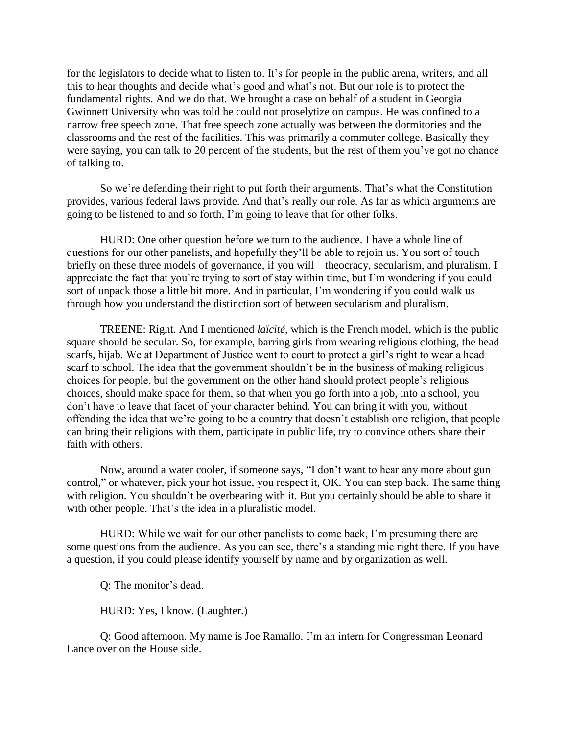for the legislators to decide what to listen to. It's for people in the public arena, writers, and all this to hear thoughts and decide what's good and what's not. But our role is to protect the fundamental rights. And we do that. We brought a case on behalf of a student in Georgia Gwinnett University who was told he could not proselytize on campus. He was confined to a narrow free speech zone. That free speech zone actually was between the dormitories and the classrooms and the rest of the facilities. This was primarily a commuter college. Basically they were saying, you can talk to 20 percent of the students, but the rest of them you've got no chance of talking to.

So we're defending their right to put forth their arguments. That's what the Constitution provides, various federal laws provide. And that's really our role. As far as which arguments are going to be listened to and so forth, I'm going to leave that for other folks.

HURD: One other question before we turn to the audience. I have a whole line of questions for our other panelists, and hopefully they'll be able to rejoin us. You sort of touch briefly on these three models of governance, if you will – theocracy, secularism, and pluralism. I appreciate the fact that you're trying to sort of stay within time, but I'm wondering if you could sort of unpack those a little bit more. And in particular, I'm wondering if you could walk us through how you understand the distinction sort of between secularism and pluralism.

TREENE: Right. And I mentioned *laïcité*, which is the French model, which is the public square should be secular. So, for example, barring girls from wearing religious clothing, the head scarfs, hijab. We at Department of Justice went to court to protect a girl's right to wear a head scarf to school. The idea that the government shouldn't be in the business of making religious choices for people, but the government on the other hand should protect people's religious choices, should make space for them, so that when you go forth into a job, into a school, you don't have to leave that facet of your character behind. You can bring it with you, without offending the idea that we're going to be a country that doesn't establish one religion, that people can bring their religions with them, participate in public life, try to convince others share their faith with others.

Now, around a water cooler, if someone says, "I don't want to hear any more about gun control," or whatever, pick your hot issue, you respect it, OK. You can step back. The same thing with religion. You shouldn't be overbearing with it. But you certainly should be able to share it with other people. That's the idea in a pluralistic model.

HURD: While we wait for our other panelists to come back, I'm presuming there are some questions from the audience. As you can see, there's a standing mic right there. If you have a question, if you could please identify yourself by name and by organization as well.

Q: The monitor's dead.

HURD: Yes, I know. (Laughter.)

Q: Good afternoon. My name is Joe Ramallo. I'm an intern for Congressman Leonard Lance over on the House side.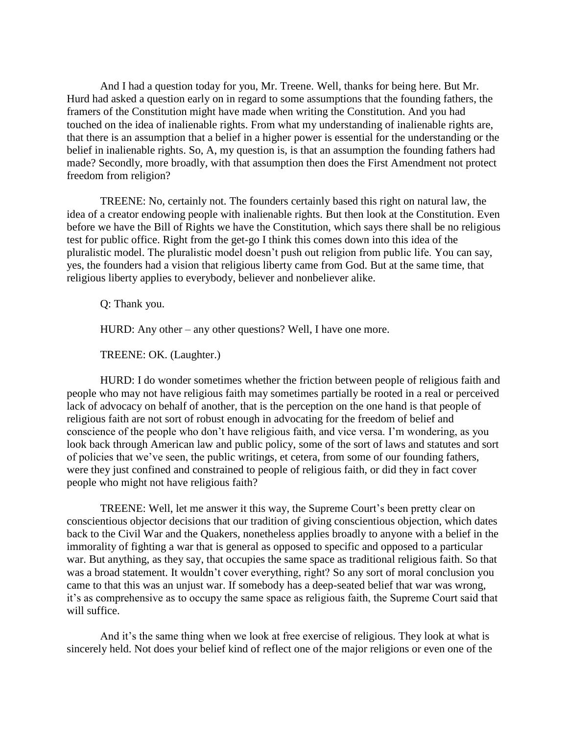And I had a question today for you, Mr. Treene. Well, thanks for being here. But Mr. Hurd had asked a question early on in regard to some assumptions that the founding fathers, the framers of the Constitution might have made when writing the Constitution. And you had touched on the idea of inalienable rights. From what my understanding of inalienable rights are, that there is an assumption that a belief in a higher power is essential for the understanding or the belief in inalienable rights. So, A, my question is, is that an assumption the founding fathers had made? Secondly, more broadly, with that assumption then does the First Amendment not protect freedom from religion?

TREENE: No, certainly not. The founders certainly based this right on natural law, the idea of a creator endowing people with inalienable rights. But then look at the Constitution. Even before we have the Bill of Rights we have the Constitution, which says there shall be no religious test for public office. Right from the get-go I think this comes down into this idea of the pluralistic model. The pluralistic model doesn't push out religion from public life. You can say, yes, the founders had a vision that religious liberty came from God. But at the same time, that religious liberty applies to everybody, believer and nonbeliever alike.

Q: Thank you.

HURD: Any other – any other questions? Well, I have one more.

TREENE: OK. (Laughter.)

HURD: I do wonder sometimes whether the friction between people of religious faith and people who may not have religious faith may sometimes partially be rooted in a real or perceived lack of advocacy on behalf of another, that is the perception on the one hand is that people of religious faith are not sort of robust enough in advocating for the freedom of belief and conscience of the people who don't have religious faith, and vice versa. I'm wondering, as you look back through American law and public policy, some of the sort of laws and statutes and sort of policies that we've seen, the public writings, et cetera, from some of our founding fathers, were they just confined and constrained to people of religious faith, or did they in fact cover people who might not have religious faith?

TREENE: Well, let me answer it this way, the Supreme Court's been pretty clear on conscientious objector decisions that our tradition of giving conscientious objection, which dates back to the Civil War and the Quakers, nonetheless applies broadly to anyone with a belief in the immorality of fighting a war that is general as opposed to specific and opposed to a particular war. But anything, as they say, that occupies the same space as traditional religious faith. So that was a broad statement. It wouldn't cover everything, right? So any sort of moral conclusion you came to that this was an unjust war. If somebody has a deep-seated belief that war was wrong, it's as comprehensive as to occupy the same space as religious faith, the Supreme Court said that will suffice.

And it's the same thing when we look at free exercise of religious. They look at what is sincerely held. Not does your belief kind of reflect one of the major religions or even one of the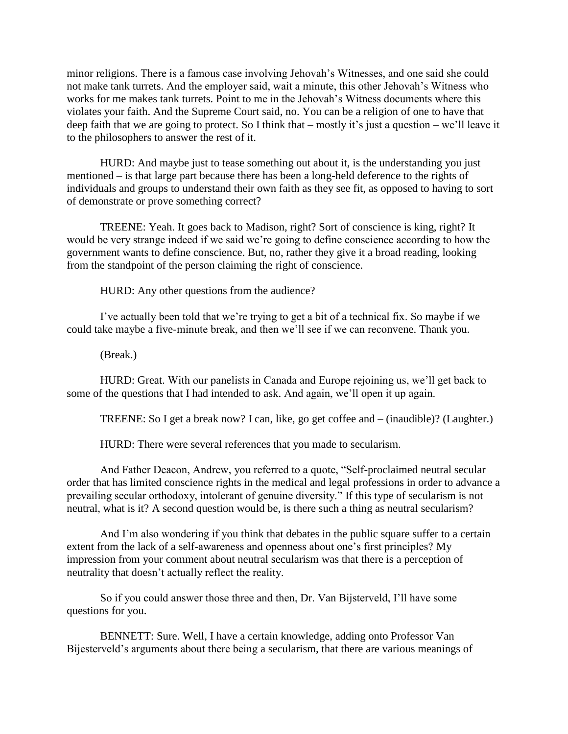minor religions. There is a famous case involving Jehovah's Witnesses, and one said she could not make tank turrets. And the employer said, wait a minute, this other Jehovah's Witness who works for me makes tank turrets. Point to me in the Jehovah's Witness documents where this violates your faith. And the Supreme Court said, no. You can be a religion of one to have that deep faith that we are going to protect. So I think that – mostly it's just a question – we'll leave it to the philosophers to answer the rest of it.

HURD: And maybe just to tease something out about it, is the understanding you just mentioned – is that large part because there has been a long-held deference to the rights of individuals and groups to understand their own faith as they see fit, as opposed to having to sort of demonstrate or prove something correct?

TREENE: Yeah. It goes back to Madison, right? Sort of conscience is king, right? It would be very strange indeed if we said we're going to define conscience according to how the government wants to define conscience. But, no, rather they give it a broad reading, looking from the standpoint of the person claiming the right of conscience.

HURD: Any other questions from the audience?

I've actually been told that we're trying to get a bit of a technical fix. So maybe if we could take maybe a five-minute break, and then we'll see if we can reconvene. Thank you.

(Break.)

HURD: Great. With our panelists in Canada and Europe rejoining us, we'll get back to some of the questions that I had intended to ask. And again, we'll open it up again.

TREENE: So I get a break now? I can, like, go get coffee and – (inaudible)? (Laughter.)

HURD: There were several references that you made to secularism.

And Father Deacon, Andrew, you referred to a quote, "Self-proclaimed neutral secular order that has limited conscience rights in the medical and legal professions in order to advance a prevailing secular orthodoxy, intolerant of genuine diversity." If this type of secularism is not neutral, what is it? A second question would be, is there such a thing as neutral secularism?

And I'm also wondering if you think that debates in the public square suffer to a certain extent from the lack of a self-awareness and openness about one's first principles? My impression from your comment about neutral secularism was that there is a perception of neutrality that doesn't actually reflect the reality.

So if you could answer those three and then, Dr. Van Bijsterveld, I'll have some questions for you.

BENNETT: Sure. Well, I have a certain knowledge, adding onto Professor Van Bijesterveld's arguments about there being a secularism, that there are various meanings of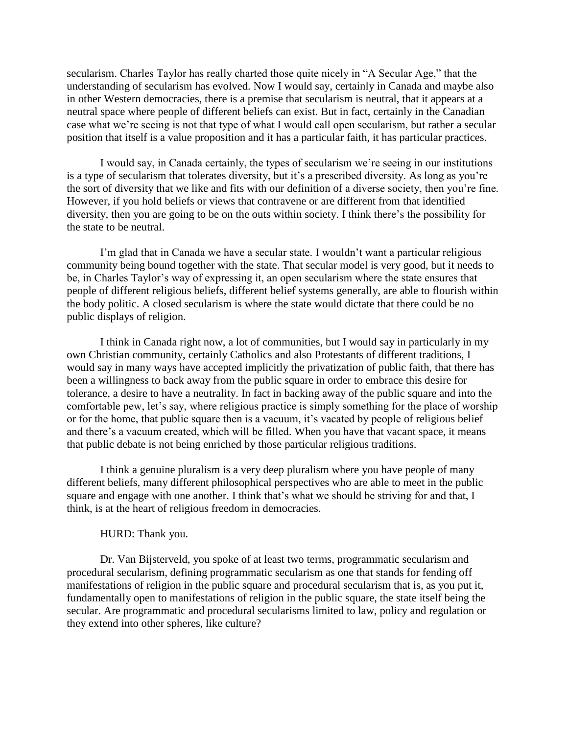secularism. Charles Taylor has really charted those quite nicely in "A Secular Age," that the understanding of secularism has evolved. Now I would say, certainly in Canada and maybe also in other Western democracies, there is a premise that secularism is neutral, that it appears at a neutral space where people of different beliefs can exist. But in fact, certainly in the Canadian case what we're seeing is not that type of what I would call open secularism, but rather a secular position that itself is a value proposition and it has a particular faith, it has particular practices.

I would say, in Canada certainly, the types of secularism we're seeing in our institutions is a type of secularism that tolerates diversity, but it's a prescribed diversity. As long as you're the sort of diversity that we like and fits with our definition of a diverse society, then you're fine. However, if you hold beliefs or views that contravene or are different from that identified diversity, then you are going to be on the outs within society. I think there's the possibility for the state to be neutral.

I'm glad that in Canada we have a secular state. I wouldn't want a particular religious community being bound together with the state. That secular model is very good, but it needs to be, in Charles Taylor's way of expressing it, an open secularism where the state ensures that people of different religious beliefs, different belief systems generally, are able to flourish within the body politic. A closed secularism is where the state would dictate that there could be no public displays of religion.

I think in Canada right now, a lot of communities, but I would say in particularly in my own Christian community, certainly Catholics and also Protestants of different traditions, I would say in many ways have accepted implicitly the privatization of public faith, that there has been a willingness to back away from the public square in order to embrace this desire for tolerance, a desire to have a neutrality. In fact in backing away of the public square and into the comfortable pew, let's say, where religious practice is simply something for the place of worship or for the home, that public square then is a vacuum, it's vacated by people of religious belief and there's a vacuum created, which will be filled. When you have that vacant space, it means that public debate is not being enriched by those particular religious traditions.

I think a genuine pluralism is a very deep pluralism where you have people of many different beliefs, many different philosophical perspectives who are able to meet in the public square and engage with one another. I think that's what we should be striving for and that, I think, is at the heart of religious freedom in democracies.

# HURD: Thank you.

Dr. Van Bijsterveld, you spoke of at least two terms, programmatic secularism and procedural secularism, defining programmatic secularism as one that stands for fending off manifestations of religion in the public square and procedural secularism that is, as you put it, fundamentally open to manifestations of religion in the public square, the state itself being the secular. Are programmatic and procedural secularisms limited to law, policy and regulation or they extend into other spheres, like culture?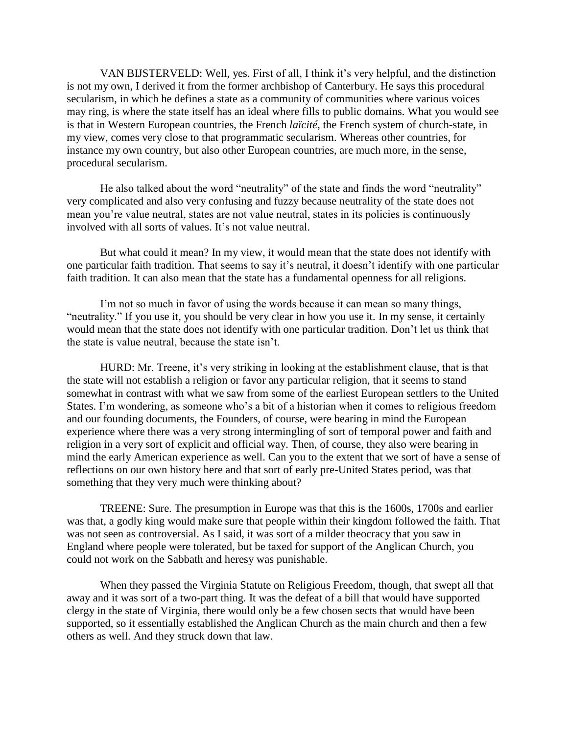VAN BIJSTERVELD: Well, yes. First of all, I think it's very helpful, and the distinction is not my own, I derived it from the former archbishop of Canterbury. He says this procedural secularism, in which he defines a state as a community of communities where various voices may ring, is where the state itself has an ideal where fills to public domains. What you would see is that in Western European countries, the French *laïcité*, the French system of church-state, in my view, comes very close to that programmatic secularism. Whereas other countries, for instance my own country, but also other European countries, are much more, in the sense, procedural secularism.

He also talked about the word "neutrality" of the state and finds the word "neutrality" very complicated and also very confusing and fuzzy because neutrality of the state does not mean you're value neutral, states are not value neutral, states in its policies is continuously involved with all sorts of values. It's not value neutral.

But what could it mean? In my view, it would mean that the state does not identify with one particular faith tradition. That seems to say it's neutral, it doesn't identify with one particular faith tradition. It can also mean that the state has a fundamental openness for all religions.

I'm not so much in favor of using the words because it can mean so many things, "neutrality." If you use it, you should be very clear in how you use it. In my sense, it certainly would mean that the state does not identify with one particular tradition. Don't let us think that the state is value neutral, because the state isn't.

HURD: Mr. Treene, it's very striking in looking at the establishment clause, that is that the state will not establish a religion or favor any particular religion, that it seems to stand somewhat in contrast with what we saw from some of the earliest European settlers to the United States. I'm wondering, as someone who's a bit of a historian when it comes to religious freedom and our founding documents, the Founders, of course, were bearing in mind the European experience where there was a very strong intermingling of sort of temporal power and faith and religion in a very sort of explicit and official way. Then, of course, they also were bearing in mind the early American experience as well. Can you to the extent that we sort of have a sense of reflections on our own history here and that sort of early pre-United States period, was that something that they very much were thinking about?

TREENE: Sure. The presumption in Europe was that this is the 1600s, 1700s and earlier was that, a godly king would make sure that people within their kingdom followed the faith. That was not seen as controversial. As I said, it was sort of a milder theocracy that you saw in England where people were tolerated, but be taxed for support of the Anglican Church, you could not work on the Sabbath and heresy was punishable.

When they passed the Virginia Statute on Religious Freedom, though, that swept all that away and it was sort of a two-part thing. It was the defeat of a bill that would have supported clergy in the state of Virginia, there would only be a few chosen sects that would have been supported, so it essentially established the Anglican Church as the main church and then a few others as well. And they struck down that law.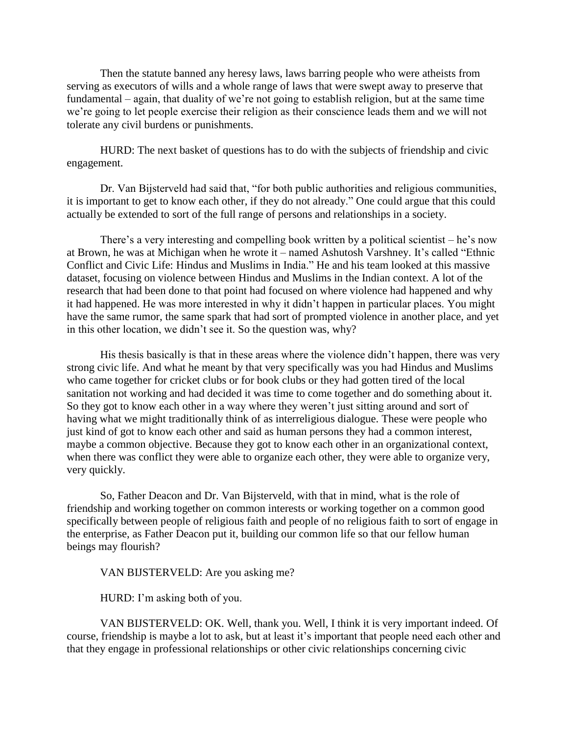Then the statute banned any heresy laws, laws barring people who were atheists from serving as executors of wills and a whole range of laws that were swept away to preserve that fundamental – again, that duality of we're not going to establish religion, but at the same time we're going to let people exercise their religion as their conscience leads them and we will not tolerate any civil burdens or punishments.

HURD: The next basket of questions has to do with the subjects of friendship and civic engagement.

Dr. Van Bijsterveld had said that, "for both public authorities and religious communities, it is important to get to know each other, if they do not already." One could argue that this could actually be extended to sort of the full range of persons and relationships in a society.

There's a very interesting and compelling book written by a political scientist – he's now at Brown, he was at Michigan when he wrote it – named Ashutosh Varshney. It's called "Ethnic Conflict and Civic Life: Hindus and Muslims in India." He and his team looked at this massive dataset, focusing on violence between Hindus and Muslims in the Indian context. A lot of the research that had been done to that point had focused on where violence had happened and why it had happened. He was more interested in why it didn't happen in particular places. You might have the same rumor, the same spark that had sort of prompted violence in another place, and yet in this other location, we didn't see it. So the question was, why?

His thesis basically is that in these areas where the violence didn't happen, there was very strong civic life. And what he meant by that very specifically was you had Hindus and Muslims who came together for cricket clubs or for book clubs or they had gotten tired of the local sanitation not working and had decided it was time to come together and do something about it. So they got to know each other in a way where they weren't just sitting around and sort of having what we might traditionally think of as interreligious dialogue. These were people who just kind of got to know each other and said as human persons they had a common interest, maybe a common objective. Because they got to know each other in an organizational context, when there was conflict they were able to organize each other, they were able to organize very, very quickly.

So, Father Deacon and Dr. Van Bijsterveld, with that in mind, what is the role of friendship and working together on common interests or working together on a common good specifically between people of religious faith and people of no religious faith to sort of engage in the enterprise, as Father Deacon put it, building our common life so that our fellow human beings may flourish?

VAN BIJSTERVELD: Are you asking me?

HURD: I'm asking both of you.

VAN BIJSTERVELD: OK. Well, thank you. Well, I think it is very important indeed. Of course, friendship is maybe a lot to ask, but at least it's important that people need each other and that they engage in professional relationships or other civic relationships concerning civic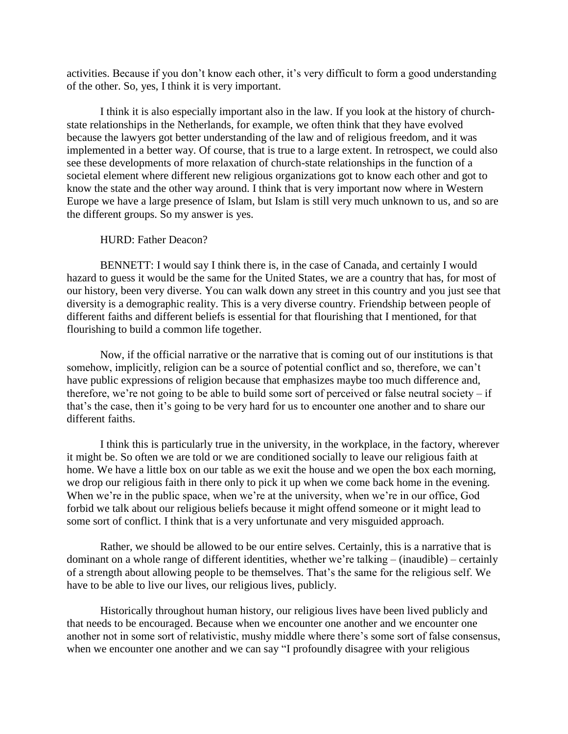activities. Because if you don't know each other, it's very difficult to form a good understanding of the other. So, yes, I think it is very important.

I think it is also especially important also in the law. If you look at the history of churchstate relationships in the Netherlands, for example, we often think that they have evolved because the lawyers got better understanding of the law and of religious freedom, and it was implemented in a better way. Of course, that is true to a large extent. In retrospect, we could also see these developments of more relaxation of church-state relationships in the function of a societal element where different new religious organizations got to know each other and got to know the state and the other way around. I think that is very important now where in Western Europe we have a large presence of Islam, but Islam is still very much unknown to us, and so are the different groups. So my answer is yes.

# HURD: Father Deacon?

BENNETT: I would say I think there is, in the case of Canada, and certainly I would hazard to guess it would be the same for the United States, we are a country that has, for most of our history, been very diverse. You can walk down any street in this country and you just see that diversity is a demographic reality. This is a very diverse country. Friendship between people of different faiths and different beliefs is essential for that flourishing that I mentioned, for that flourishing to build a common life together.

Now, if the official narrative or the narrative that is coming out of our institutions is that somehow, implicitly, religion can be a source of potential conflict and so, therefore, we can't have public expressions of religion because that emphasizes maybe too much difference and, therefore, we're not going to be able to build some sort of perceived or false neutral society – if that's the case, then it's going to be very hard for us to encounter one another and to share our different faiths.

I think this is particularly true in the university, in the workplace, in the factory, wherever it might be. So often we are told or we are conditioned socially to leave our religious faith at home. We have a little box on our table as we exit the house and we open the box each morning, we drop our religious faith in there only to pick it up when we come back home in the evening. When we're in the public space, when we're at the university, when we're in our office, God forbid we talk about our religious beliefs because it might offend someone or it might lead to some sort of conflict. I think that is a very unfortunate and very misguided approach.

Rather, we should be allowed to be our entire selves. Certainly, this is a narrative that is dominant on a whole range of different identities, whether we're talking – (inaudible) – certainly of a strength about allowing people to be themselves. That's the same for the religious self. We have to be able to live our lives, our religious lives, publicly.

Historically throughout human history, our religious lives have been lived publicly and that needs to be encouraged. Because when we encounter one another and we encounter one another not in some sort of relativistic, mushy middle where there's some sort of false consensus, when we encounter one another and we can say "I profoundly disagree with your religious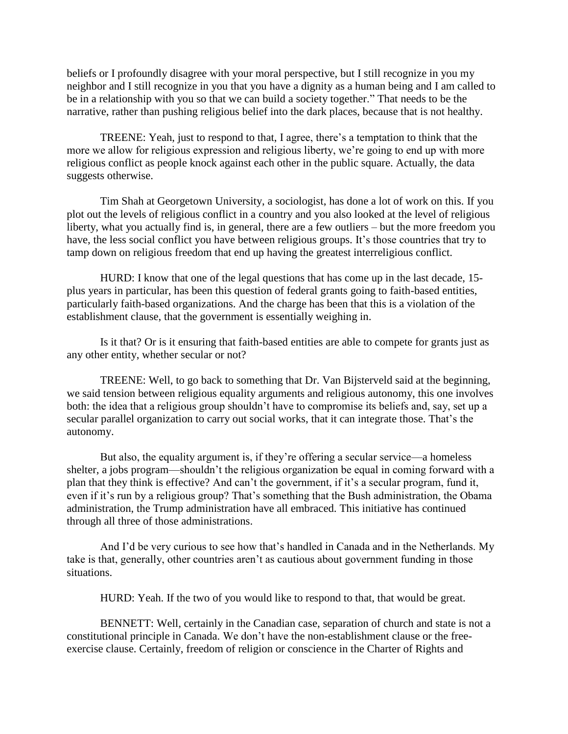beliefs or I profoundly disagree with your moral perspective, but I still recognize in you my neighbor and I still recognize in you that you have a dignity as a human being and I am called to be in a relationship with you so that we can build a society together." That needs to be the narrative, rather than pushing religious belief into the dark places, because that is not healthy.

TREENE: Yeah, just to respond to that, I agree, there's a temptation to think that the more we allow for religious expression and religious liberty, we're going to end up with more religious conflict as people knock against each other in the public square. Actually, the data suggests otherwise.

Tim Shah at Georgetown University, a sociologist, has done a lot of work on this. If you plot out the levels of religious conflict in a country and you also looked at the level of religious liberty, what you actually find is, in general, there are a few outliers – but the more freedom you have, the less social conflict you have between religious groups. It's those countries that try to tamp down on religious freedom that end up having the greatest interreligious conflict.

HURD: I know that one of the legal questions that has come up in the last decade, 15 plus years in particular, has been this question of federal grants going to faith-based entities, particularly faith-based organizations. And the charge has been that this is a violation of the establishment clause, that the government is essentially weighing in.

Is it that? Or is it ensuring that faith-based entities are able to compete for grants just as any other entity, whether secular or not?

TREENE: Well, to go back to something that Dr. Van Bijsterveld said at the beginning, we said tension between religious equality arguments and religious autonomy, this one involves both: the idea that a religious group shouldn't have to compromise its beliefs and, say, set up a secular parallel organization to carry out social works, that it can integrate those. That's the autonomy.

But also, the equality argument is, if they're offering a secular service—a homeless shelter, a jobs program—shouldn't the religious organization be equal in coming forward with a plan that they think is effective? And can't the government, if it's a secular program, fund it, even if it's run by a religious group? That's something that the Bush administration, the Obama administration, the Trump administration have all embraced. This initiative has continued through all three of those administrations.

And I'd be very curious to see how that's handled in Canada and in the Netherlands. My take is that, generally, other countries aren't as cautious about government funding in those situations.

HURD: Yeah. If the two of you would like to respond to that, that would be great.

BENNETT: Well, certainly in the Canadian case, separation of church and state is not a constitutional principle in Canada. We don't have the non-establishment clause or the freeexercise clause. Certainly, freedom of religion or conscience in the Charter of Rights and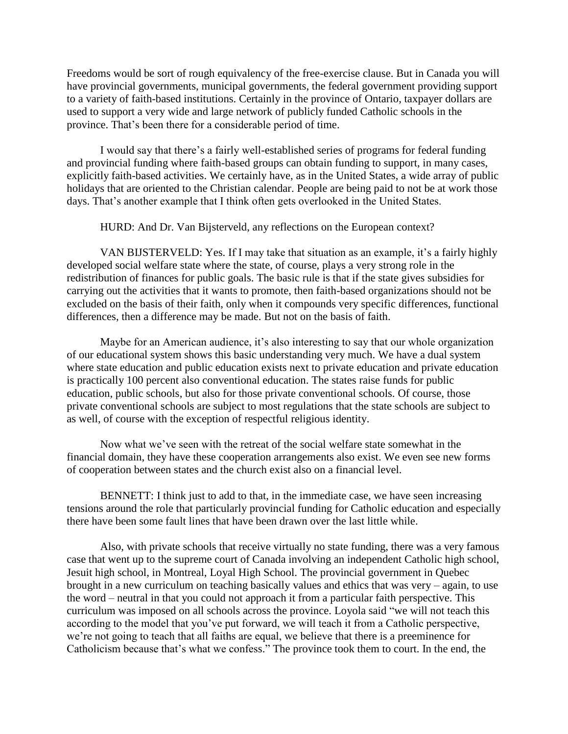Freedoms would be sort of rough equivalency of the free-exercise clause. But in Canada you will have provincial governments, municipal governments, the federal government providing support to a variety of faith-based institutions. Certainly in the province of Ontario, taxpayer dollars are used to support a very wide and large network of publicly funded Catholic schools in the province. That's been there for a considerable period of time.

I would say that there's a fairly well-established series of programs for federal funding and provincial funding where faith-based groups can obtain funding to support, in many cases, explicitly faith-based activities. We certainly have, as in the United States, a wide array of public holidays that are oriented to the Christian calendar. People are being paid to not be at work those days. That's another example that I think often gets overlooked in the United States.

HURD: And Dr. Van Bijsterveld, any reflections on the European context?

VAN BIJSTERVELD: Yes. If I may take that situation as an example, it's a fairly highly developed social welfare state where the state, of course, plays a very strong role in the redistribution of finances for public goals. The basic rule is that if the state gives subsidies for carrying out the activities that it wants to promote, then faith-based organizations should not be excluded on the basis of their faith, only when it compounds very specific differences, functional differences, then a difference may be made. But not on the basis of faith.

Maybe for an American audience, it's also interesting to say that our whole organization of our educational system shows this basic understanding very much. We have a dual system where state education and public education exists next to private education and private education is practically 100 percent also conventional education. The states raise funds for public education, public schools, but also for those private conventional schools. Of course, those private conventional schools are subject to most regulations that the state schools are subject to as well, of course with the exception of respectful religious identity.

Now what we've seen with the retreat of the social welfare state somewhat in the financial domain, they have these cooperation arrangements also exist. We even see new forms of cooperation between states and the church exist also on a financial level.

BENNETT: I think just to add to that, in the immediate case, we have seen increasing tensions around the role that particularly provincial funding for Catholic education and especially there have been some fault lines that have been drawn over the last little while.

Also, with private schools that receive virtually no state funding, there was a very famous case that went up to the supreme court of Canada involving an independent Catholic high school, Jesuit high school, in Montreal, Loyal High School. The provincial government in Quebec brought in a new curriculum on teaching basically values and ethics that was very – again, to use the word – neutral in that you could not approach it from a particular faith perspective. This curriculum was imposed on all schools across the province. Loyola said "we will not teach this according to the model that you've put forward, we will teach it from a Catholic perspective, we're not going to teach that all faiths are equal, we believe that there is a preeminence for Catholicism because that's what we confess." The province took them to court. In the end, the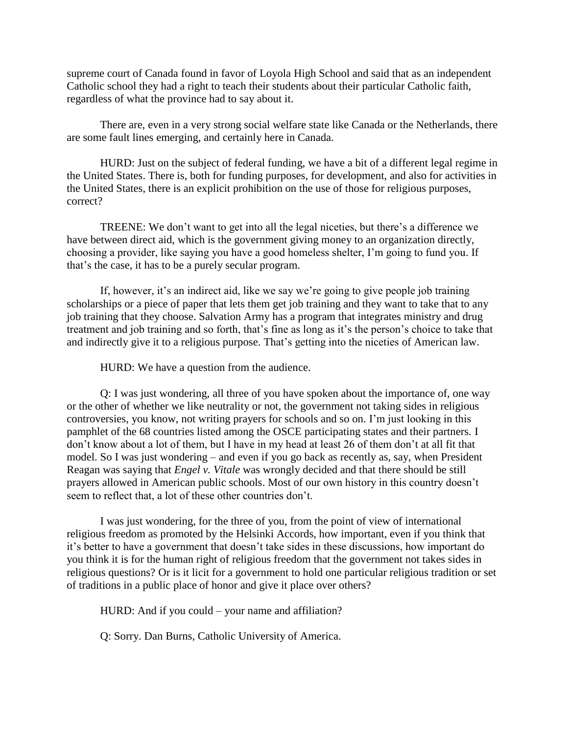supreme court of Canada found in favor of Loyola High School and said that as an independent Catholic school they had a right to teach their students about their particular Catholic faith, regardless of what the province had to say about it.

There are, even in a very strong social welfare state like Canada or the Netherlands, there are some fault lines emerging, and certainly here in Canada.

HURD: Just on the subject of federal funding, we have a bit of a different legal regime in the United States. There is, both for funding purposes, for development, and also for activities in the United States, there is an explicit prohibition on the use of those for religious purposes, correct?

TREENE: We don't want to get into all the legal niceties, but there's a difference we have between direct aid, which is the government giving money to an organization directly, choosing a provider, like saying you have a good homeless shelter, I'm going to fund you. If that's the case, it has to be a purely secular program.

If, however, it's an indirect aid, like we say we're going to give people job training scholarships or a piece of paper that lets them get job training and they want to take that to any job training that they choose. Salvation Army has a program that integrates ministry and drug treatment and job training and so forth, that's fine as long as it's the person's choice to take that and indirectly give it to a religious purpose. That's getting into the niceties of American law.

HURD: We have a question from the audience.

Q: I was just wondering, all three of you have spoken about the importance of, one way or the other of whether we like neutrality or not, the government not taking sides in religious controversies, you know, not writing prayers for schools and so on. I'm just looking in this pamphlet of the 68 countries listed among the OSCE participating states and their partners. I don't know about a lot of them, but I have in my head at least 26 of them don't at all fit that model. So I was just wondering – and even if you go back as recently as, say, when President Reagan was saying that *Engel v. Vitale* was wrongly decided and that there should be still prayers allowed in American public schools. Most of our own history in this country doesn't seem to reflect that, a lot of these other countries don't.

I was just wondering, for the three of you, from the point of view of international religious freedom as promoted by the Helsinki Accords, how important, even if you think that it's better to have a government that doesn't take sides in these discussions, how important do you think it is for the human right of religious freedom that the government not takes sides in religious questions? Or is it licit for a government to hold one particular religious tradition or set of traditions in a public place of honor and give it place over others?

HURD: And if you could – your name and affiliation?

Q: Sorry. Dan Burns, Catholic University of America.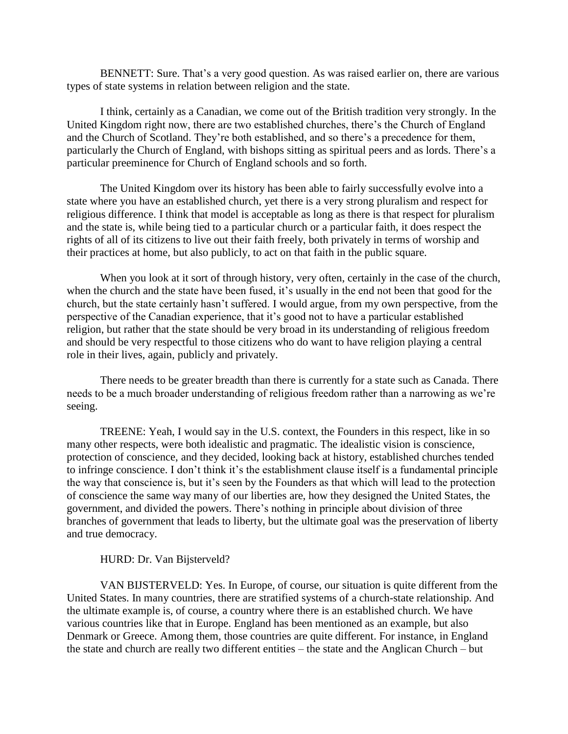BENNETT: Sure. That's a very good question. As was raised earlier on, there are various types of state systems in relation between religion and the state.

I think, certainly as a Canadian, we come out of the British tradition very strongly. In the United Kingdom right now, there are two established churches, there's the Church of England and the Church of Scotland. They're both established, and so there's a precedence for them, particularly the Church of England, with bishops sitting as spiritual peers and as lords. There's a particular preeminence for Church of England schools and so forth.

The United Kingdom over its history has been able to fairly successfully evolve into a state where you have an established church, yet there is a very strong pluralism and respect for religious difference. I think that model is acceptable as long as there is that respect for pluralism and the state is, while being tied to a particular church or a particular faith, it does respect the rights of all of its citizens to live out their faith freely, both privately in terms of worship and their practices at home, but also publicly, to act on that faith in the public square.

When you look at it sort of through history, very often, certainly in the case of the church, when the church and the state have been fused, it's usually in the end not been that good for the church, but the state certainly hasn't suffered. I would argue, from my own perspective, from the perspective of the Canadian experience, that it's good not to have a particular established religion, but rather that the state should be very broad in its understanding of religious freedom and should be very respectful to those citizens who do want to have religion playing a central role in their lives, again, publicly and privately.

There needs to be greater breadth than there is currently for a state such as Canada. There needs to be a much broader understanding of religious freedom rather than a narrowing as we're seeing.

TREENE: Yeah, I would say in the U.S. context, the Founders in this respect, like in so many other respects, were both idealistic and pragmatic. The idealistic vision is conscience, protection of conscience, and they decided, looking back at history, established churches tended to infringe conscience. I don't think it's the establishment clause itself is a fundamental principle the way that conscience is, but it's seen by the Founders as that which will lead to the protection of conscience the same way many of our liberties are, how they designed the United States, the government, and divided the powers. There's nothing in principle about division of three branches of government that leads to liberty, but the ultimate goal was the preservation of liberty and true democracy.

#### HURD: Dr. Van Bijsterveld?

VAN BIJSTERVELD: Yes. In Europe, of course, our situation is quite different from the United States. In many countries, there are stratified systems of a church-state relationship. And the ultimate example is, of course, a country where there is an established church. We have various countries like that in Europe. England has been mentioned as an example, but also Denmark or Greece. Among them, those countries are quite different. For instance, in England the state and church are really two different entities – the state and the Anglican Church – but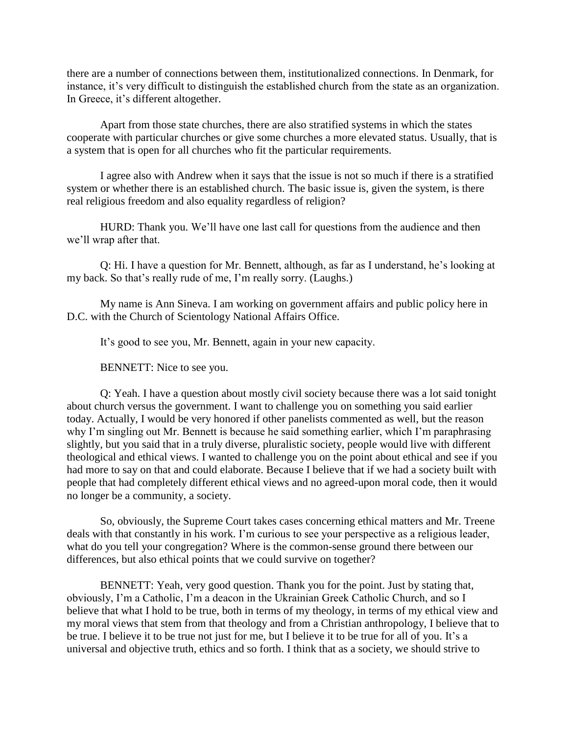there are a number of connections between them, institutionalized connections. In Denmark, for instance, it's very difficult to distinguish the established church from the state as an organization. In Greece, it's different altogether.

Apart from those state churches, there are also stratified systems in which the states cooperate with particular churches or give some churches a more elevated status. Usually, that is a system that is open for all churches who fit the particular requirements.

I agree also with Andrew when it says that the issue is not so much if there is a stratified system or whether there is an established church. The basic issue is, given the system, is there real religious freedom and also equality regardless of religion?

HURD: Thank you. We'll have one last call for questions from the audience and then we'll wrap after that.

Q: Hi. I have a question for Mr. Bennett, although, as far as I understand, he's looking at my back. So that's really rude of me, I'm really sorry. (Laughs.)

My name is Ann Sineva. I am working on government affairs and public policy here in D.C. with the Church of Scientology National Affairs Office.

It's good to see you, Mr. Bennett, again in your new capacity.

BENNETT: Nice to see you.

Q: Yeah. I have a question about mostly civil society because there was a lot said tonight about church versus the government. I want to challenge you on something you said earlier today. Actually, I would be very honored if other panelists commented as well, but the reason why I'm singling out Mr. Bennett is because he said something earlier, which I'm paraphrasing slightly, but you said that in a truly diverse, pluralistic society, people would live with different theological and ethical views. I wanted to challenge you on the point about ethical and see if you had more to say on that and could elaborate. Because I believe that if we had a society built with people that had completely different ethical views and no agreed-upon moral code, then it would no longer be a community, a society.

So, obviously, the Supreme Court takes cases concerning ethical matters and Mr. Treene deals with that constantly in his work. I'm curious to see your perspective as a religious leader, what do you tell your congregation? Where is the common-sense ground there between our differences, but also ethical points that we could survive on together?

BENNETT: Yeah, very good question. Thank you for the point. Just by stating that, obviously, I'm a Catholic, I'm a deacon in the Ukrainian Greek Catholic Church, and so I believe that what I hold to be true, both in terms of my theology, in terms of my ethical view and my moral views that stem from that theology and from a Christian anthropology, I believe that to be true. I believe it to be true not just for me, but I believe it to be true for all of you. It's a universal and objective truth, ethics and so forth. I think that as a society, we should strive to